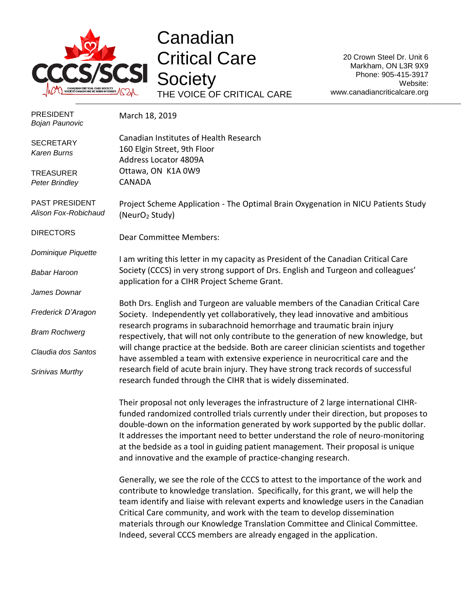

Canadian Critical Care **Society** THE VOICE OF CRITICAL CARE

20 Crown Steel Dr. Unit 6 Markham, ON L3R 9X9 Phone: 905-415-3917 Website: www.canadiancriticalcare.org

| <b>PRESIDENT</b><br><b>Bojan Paunovic</b> | March 18, 2019                                                                                                                                                                                                                                                                                                                                                                                                                                                                                            |
|-------------------------------------------|-----------------------------------------------------------------------------------------------------------------------------------------------------------------------------------------------------------------------------------------------------------------------------------------------------------------------------------------------------------------------------------------------------------------------------------------------------------------------------------------------------------|
| <b>SECRETARY</b><br><b>Karen Burns</b>    | Canadian Institutes of Health Research<br>160 Elgin Street, 9th Floor<br>Address Locator 4809A                                                                                                                                                                                                                                                                                                                                                                                                            |
| <b>TREASURER</b><br><b>Peter Brindley</b> | Ottawa, ON K1A 0W9<br>CANADA                                                                                                                                                                                                                                                                                                                                                                                                                                                                              |
| PAST PRESIDENT<br>Alison Fox-Robichaud    | Project Scheme Application - The Optimal Brain Oxygenation in NICU Patients Study<br>(NeurO <sub>2</sub> Study)                                                                                                                                                                                                                                                                                                                                                                                           |
| <b>DIRECTORS</b>                          | <b>Dear Committee Members:</b>                                                                                                                                                                                                                                                                                                                                                                                                                                                                            |
| Dominique Piquette                        | I am writing this letter in my capacity as President of the Canadian Critical Care                                                                                                                                                                                                                                                                                                                                                                                                                        |
| <b>Babar Haroon</b>                       | Society (CCCS) in very strong support of Drs. English and Turgeon and colleagues'<br>application for a CIHR Project Scheme Grant.                                                                                                                                                                                                                                                                                                                                                                         |
| James Downar                              |                                                                                                                                                                                                                                                                                                                                                                                                                                                                                                           |
| Frederick D'Aragon                        | Both Drs. English and Turgeon are valuable members of the Canadian Critical Care<br>Society. Independently yet collaboratively, they lead innovative and ambitious                                                                                                                                                                                                                                                                                                                                        |
| <b>Bram Rochwerg</b>                      | research programs in subarachnoid hemorrhage and traumatic brain injury<br>respectively, that will not only contribute to the generation of new knowledge, but                                                                                                                                                                                                                                                                                                                                            |
| Claudia dos Santos                        | will change practice at the bedside. Both are career clinician scientists and together<br>have assembled a team with extensive experience in neurocritical care and the                                                                                                                                                                                                                                                                                                                                   |
| Srinivas Murthy                           | research field of acute brain injury. They have strong track records of successful<br>research funded through the CIHR that is widely disseminated.                                                                                                                                                                                                                                                                                                                                                       |
|                                           | Their proposal not only leverages the infrastructure of 2 large international CIHR-<br>funded randomized controlled trials currently under their direction, but proposes to<br>double-down on the information generated by work supported by the public dollar.<br>It addresses the important need to better understand the role of neuro-monitoring<br>at the bedside as a tool in guiding patient management. Their proposal is unique<br>and innovative and the example of practice-changing research. |
|                                           | Generally, we see the role of the CCCS to attest to the importance of the work and<br>. The main field of the contract of the contract $\mathbf{C}$ is a set of the contract of the contract of the contract of                                                                                                                                                                                                                                                                                           |

contribute to knowledge translation. Specifically, for this grant, we will help the team identify and liaise with relevant experts and knowledge users in the Canadian Critical Care community, and work with the team to develop dissemination materials through our Knowledge Translation Committee and Clinical Committee. Indeed, several CCCS members are already engaged in the application.